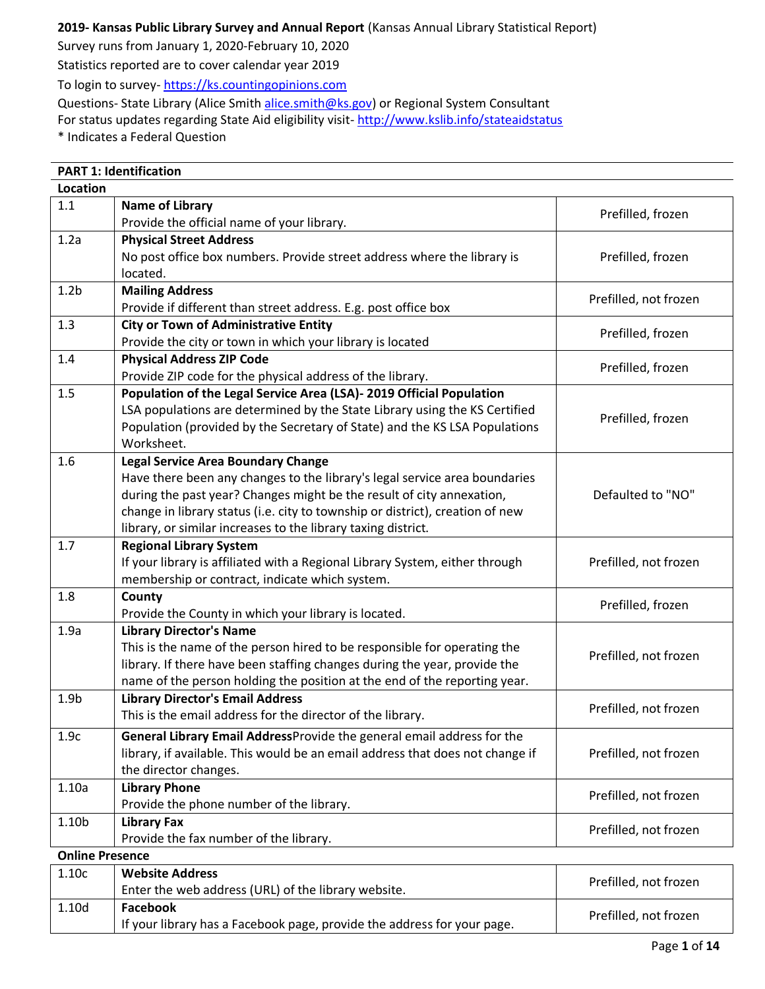## **2019- Kansas Public Library Survey and Annual Report** (Kansas Annual Library Statistical Report)

Survey runs from January 1, 2020-February 10, 2020

Statistics reported are to cover calendar year 2019

To login to survey- [https://ks.countingopinions.com](https://ks.countingopinions.com/)

Questions- State Library (Alice Smith [alice.smith@ks.gov\)](mailto:alice.smith@ks.gov) or Regional System Consultant

For status updates regarding State Aid eligibility visit-<http://www.kslib.info/stateaidstatus>

\* Indicates a Federal Question

|                        | <b>PART 1: Identification</b>                                                 |                       |
|------------------------|-------------------------------------------------------------------------------|-----------------------|
| <b>Location</b>        |                                                                               |                       |
| 1.1                    | <b>Name of Library</b>                                                        |                       |
|                        | Provide the official name of your library.                                    | Prefilled, frozen     |
| 1.2a                   | <b>Physical Street Address</b>                                                |                       |
|                        | No post office box numbers. Provide street address where the library is       | Prefilled, frozen     |
|                        | located.                                                                      |                       |
| 1.2 <sub>b</sub>       | <b>Mailing Address</b>                                                        |                       |
|                        | Provide if different than street address. E.g. post office box                | Prefilled, not frozen |
| 1.3                    | <b>City or Town of Administrative Entity</b>                                  | Prefilled, frozen     |
|                        | Provide the city or town in which your library is located                     |                       |
| 1.4                    | <b>Physical Address ZIP Code</b>                                              |                       |
|                        | Provide ZIP code for the physical address of the library.                     | Prefilled, frozen     |
| 1.5                    | Population of the Legal Service Area (LSA)- 2019 Official Population          |                       |
|                        | LSA populations are determined by the State Library using the KS Certified    | Prefilled, frozen     |
|                        | Population (provided by the Secretary of State) and the KS LSA Populations    |                       |
|                        | Worksheet.                                                                    |                       |
| 1.6                    | <b>Legal Service Area Boundary Change</b>                                     |                       |
|                        | Have there been any changes to the library's legal service area boundaries    |                       |
|                        | during the past year? Changes might be the result of city annexation,         | Defaulted to "NO"     |
|                        | change in library status (i.e. city to township or district), creation of new |                       |
|                        | library, or similar increases to the library taxing district.                 |                       |
| 1.7                    | <b>Regional Library System</b>                                                |                       |
|                        | If your library is affiliated with a Regional Library System, either through  | Prefilled, not frozen |
|                        | membership or contract, indicate which system.                                |                       |
| 1.8                    | County                                                                        | Prefilled, frozen     |
|                        | Provide the County in which your library is located.                          |                       |
| 1.9a                   | <b>Library Director's Name</b>                                                |                       |
|                        | This is the name of the person hired to be responsible for operating the      | Prefilled, not frozen |
|                        | library. If there have been staffing changes during the year, provide the     |                       |
|                        | name of the person holding the position at the end of the reporting year.     |                       |
| 1.9 <sub>b</sub>       | <b>Library Director's Email Address</b>                                       | Prefilled, not frozen |
|                        | This is the email address for the director of the library.                    |                       |
| 1.9c                   | General Library Email AddressProvide the general email address for the        |                       |
|                        | library, if available. This would be an email address that does not change if | Prefilled, not frozen |
|                        | the director changes.                                                         |                       |
| 1.10a                  | <b>Library Phone</b>                                                          | Prefilled, not frozen |
|                        | Provide the phone number of the library.                                      |                       |
| 1.10b                  | <b>Library Fax</b>                                                            | Prefilled, not frozen |
|                        | Provide the fax number of the library.                                        |                       |
| <b>Online Presence</b> |                                                                               |                       |
| 1.10c                  | <b>Website Address</b>                                                        | Prefilled, not frozen |
|                        | Enter the web address (URL) of the library website.                           |                       |
| 1.10d                  | <b>Facebook</b>                                                               | Prefilled, not frozen |
|                        | If your library has a Facebook page, provide the address for your page.       |                       |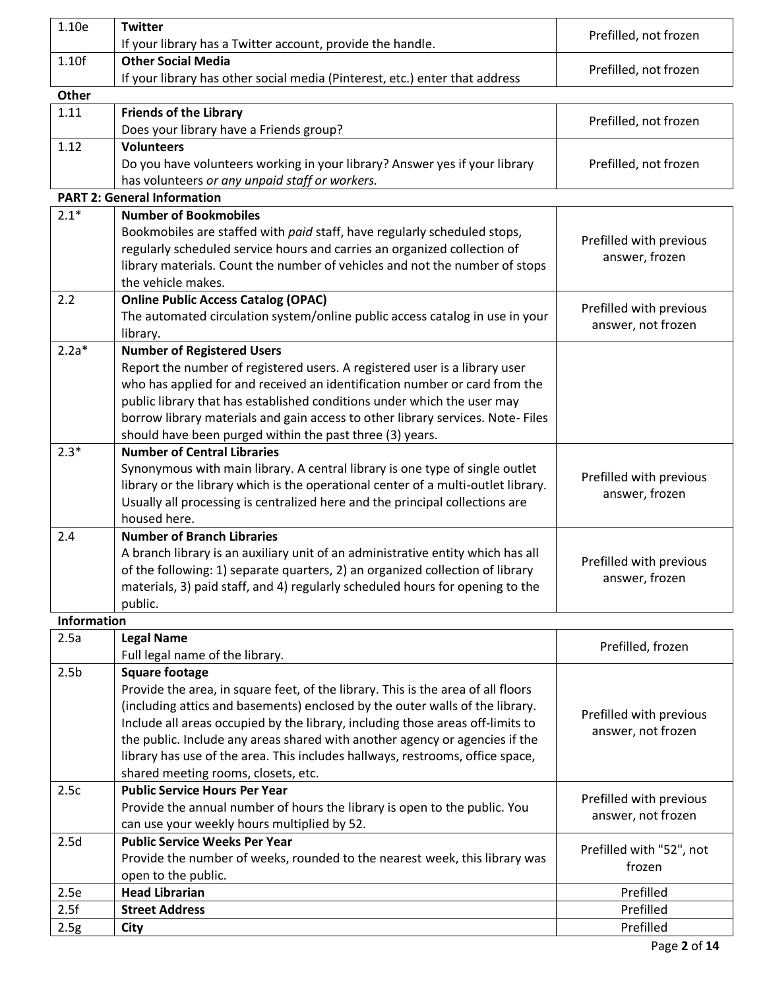| 1.10e              | <b>Twitter</b>                                                                                    | Prefilled, not frozen    |
|--------------------|---------------------------------------------------------------------------------------------------|--------------------------|
|                    | If your library has a Twitter account, provide the handle.                                        |                          |
| 1.10f              | <b>Other Social Media</b>                                                                         | Prefilled, not frozen    |
|                    | If your library has other social media (Pinterest, etc.) enter that address                       |                          |
| <b>Other</b>       |                                                                                                   |                          |
| 1.11               | <b>Friends of the Library</b>                                                                     | Prefilled, not frozen    |
|                    | Does your library have a Friends group?                                                           |                          |
| 1.12               | <b>Volunteers</b>                                                                                 |                          |
|                    | Do you have volunteers working in your library? Answer yes if your library                        | Prefilled, not frozen    |
|                    | has volunteers or any unpaid staff or workers.<br><b>PART 2: General Information</b>              |                          |
|                    |                                                                                                   |                          |
| $2.1*$             | <b>Number of Bookmobiles</b>                                                                      |                          |
|                    | Bookmobiles are staffed with paid staff, have regularly scheduled stops,                          | Prefilled with previous  |
|                    | regularly scheduled service hours and carries an organized collection of                          | answer, frozen           |
|                    | library materials. Count the number of vehicles and not the number of stops<br>the vehicle makes. |                          |
|                    | <b>Online Public Access Catalog (OPAC)</b>                                                        |                          |
| 2.2                |                                                                                                   | Prefilled with previous  |
|                    | The automated circulation system/online public access catalog in use in your<br>library.          | answer, not frozen       |
| $2.2a*$            | <b>Number of Registered Users</b>                                                                 |                          |
|                    | Report the number of registered users. A registered user is a library user                        |                          |
|                    | who has applied for and received an identification number or card from the                        |                          |
|                    | public library that has established conditions under which the user may                           |                          |
|                    | borrow library materials and gain access to other library services. Note-Files                    |                          |
|                    | should have been purged within the past three (3) years.                                          |                          |
| $2.3*$             | <b>Number of Central Libraries</b>                                                                |                          |
|                    | Synonymous with main library. A central library is one type of single outlet                      |                          |
|                    | library or the library which is the operational center of a multi-outlet library.                 | Prefilled with previous  |
|                    | Usually all processing is centralized here and the principal collections are                      | answer, frozen           |
|                    | housed here.                                                                                      |                          |
| 2.4                | <b>Number of Branch Libraries</b>                                                                 |                          |
|                    | A branch library is an auxiliary unit of an administrative entity which has all                   |                          |
|                    | of the following: 1) separate quarters, 2) an organized collection of library                     | Prefilled with previous  |
|                    | materials, 3) paid staff, and 4) regularly scheduled hours for opening to the                     | answer, frozen           |
|                    | public.                                                                                           |                          |
| <b>Information</b> |                                                                                                   |                          |
| 2.5a               | <b>Legal Name</b>                                                                                 |                          |
|                    | Full legal name of the library.                                                                   | Prefilled, frozen        |
| 2.5 <sub>b</sub>   | <b>Square footage</b>                                                                             |                          |
|                    | Provide the area, in square feet, of the library. This is the area of all floors                  |                          |
|                    | (including attics and basements) enclosed by the outer walls of the library.                      |                          |
|                    | Include all areas occupied by the library, including those areas off-limits to                    | Prefilled with previous  |
|                    | the public. Include any areas shared with another agency or agencies if the                       | answer, not frozen       |
|                    | library has use of the area. This includes hallways, restrooms, office space,                     |                          |
|                    | shared meeting rooms, closets, etc.                                                               |                          |
| 2.5c               | <b>Public Service Hours Per Year</b>                                                              |                          |
|                    | Provide the annual number of hours the library is open to the public. You                         | Prefilled with previous  |
|                    | can use your weekly hours multiplied by 52.                                                       | answer, not frozen       |
| 2.5d               | <b>Public Service Weeks Per Year</b>                                                              |                          |
|                    | Provide the number of weeks, rounded to the nearest week, this library was                        | Prefilled with "52", not |
|                    | open to the public.                                                                               | frozen                   |
| 2.5e               | <b>Head Librarian</b>                                                                             | Prefilled                |
| 2.5f               | <b>Street Address</b>                                                                             | Prefilled                |
| 2.5g               | <b>City</b>                                                                                       | Prefilled                |
|                    |                                                                                                   |                          |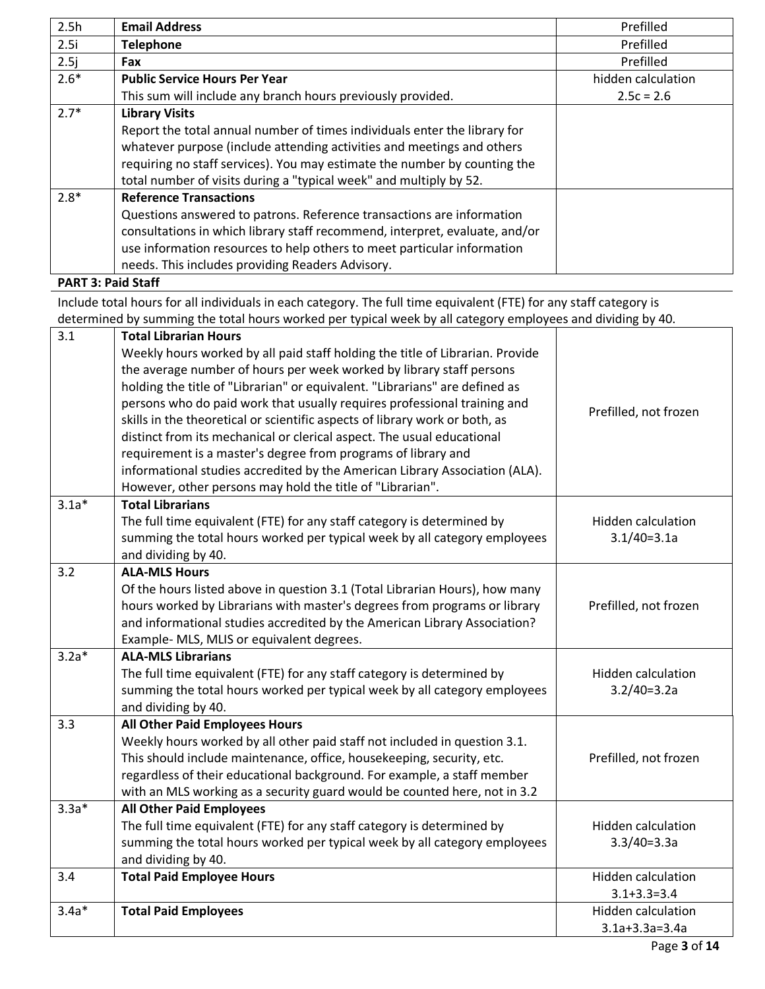| 2.5h   | <b>Email Address</b>                                                        | Prefilled          |
|--------|-----------------------------------------------------------------------------|--------------------|
| 2.5i   | <b>Telephone</b>                                                            | Prefilled          |
| 2.5j   | <b>Fax</b>                                                                  | Prefilled          |
| $2.6*$ | <b>Public Service Hours Per Year</b>                                        | hidden calculation |
|        | This sum will include any branch hours previously provided.                 | $2.5c = 2.6$       |
| $2.7*$ | <b>Library Visits</b>                                                       |                    |
|        | Report the total annual number of times individuals enter the library for   |                    |
|        | whatever purpose (include attending activities and meetings and others      |                    |
|        | requiring no staff services). You may estimate the number by counting the   |                    |
|        | total number of visits during a "typical week" and multiply by 52.          |                    |
| $2.8*$ | <b>Reference Transactions</b>                                               |                    |
|        | Questions answered to patrons. Reference transactions are information       |                    |
|        | consultations in which library staff recommend, interpret, evaluate, and/or |                    |
|        | use information resources to help others to meet particular information     |                    |
|        | needs. This includes providing Readers Advisory.                            |                    |
|        | .                                                                           |                    |

**PART 3: Paid Staff**

Include total hours for all individuals in each category. The full time equivalent (FTE) for any staff category is determined by summing the total hours worked per typical week by all category employees and dividing by 40.

| 3.1<br><b>Total Librarian Hours</b><br>Weekly hours worked by all paid staff holding the title of Librarian. Provide<br>the average number of hours per week worked by library staff persons<br>holding the title of "Librarian" or equivalent. "Librarians" are defined as<br>persons who do paid work that usually requires professional training and<br>Prefilled, not frozen<br>skills in the theoretical or scientific aspects of library work or both, as<br>distinct from its mechanical or clerical aspect. The usual educational<br>requirement is a master's degree from programs of library and<br>informational studies accredited by the American Library Association (ALA).<br>However, other persons may hold the title of "Librarian".<br>$3.1a*$<br><b>Total Librarians</b><br>The full time equivalent (FTE) for any staff category is determined by<br>Hidden calculation<br>summing the total hours worked per typical week by all category employees<br>$3.1/40=3.1a$<br>and dividing by 40.<br>3.2<br><b>ALA-MLS Hours</b><br>Of the hours listed above in question 3.1 (Total Librarian Hours), how many<br>hours worked by Librarians with master's degrees from programs or library<br>Prefilled, not frozen<br>and informational studies accredited by the American Library Association?<br>Example- MLS, MLIS or equivalent degrees.<br>$3.2a*$<br><b>ALA-MLS Librarians</b><br>The full time equivalent (FTE) for any staff category is determined by<br><b>Hidden calculation</b><br>summing the total hours worked per typical week by all category employees<br>$3.2/40=3.2a$<br>and dividing by 40.<br><b>All Other Paid Employees Hours</b><br>3.3<br>Weekly hours worked by all other paid staff not included in question 3.1.<br>This should include maintenance, office, housekeeping, security, etc.<br>Prefilled, not frozen<br>regardless of their educational background. For example, a staff member<br>with an MLS working as a security guard would be counted here, not in 3.2<br><b>All Other Paid Employees</b><br>$3.3a*$<br>The full time equivalent (FTE) for any staff category is determined by<br>Hidden calculation<br>summing the total hours worked per typical week by all category employees<br>$3.3/40=3.3a$<br>and dividing by 40.<br><b>Total Paid Employee Hours</b><br>3.4<br>Hidden calculation<br>$3.1 + 3.3 = 3.4$<br>$3.4a*$<br>Hidden calculation<br><b>Total Paid Employees</b><br>$3.1a+3.3a=3.4a$ |  |  |
|-------------------------------------------------------------------------------------------------------------------------------------------------------------------------------------------------------------------------------------------------------------------------------------------------------------------------------------------------------------------------------------------------------------------------------------------------------------------------------------------------------------------------------------------------------------------------------------------------------------------------------------------------------------------------------------------------------------------------------------------------------------------------------------------------------------------------------------------------------------------------------------------------------------------------------------------------------------------------------------------------------------------------------------------------------------------------------------------------------------------------------------------------------------------------------------------------------------------------------------------------------------------------------------------------------------------------------------------------------------------------------------------------------------------------------------------------------------------------------------------------------------------------------------------------------------------------------------------------------------------------------------------------------------------------------------------------------------------------------------------------------------------------------------------------------------------------------------------------------------------------------------------------------------------------------------------------------------------------------------------------------------------------------------------------------------------------------------------------------------------------------------------------------------------------------------------------------------------------------------------------------------------------------------------------------------------------------------------------------------------------------------------------------------------------------------------------------------------------|--|--|
|                                                                                                                                                                                                                                                                                                                                                                                                                                                                                                                                                                                                                                                                                                                                                                                                                                                                                                                                                                                                                                                                                                                                                                                                                                                                                                                                                                                                                                                                                                                                                                                                                                                                                                                                                                                                                                                                                                                                                                                                                                                                                                                                                                                                                                                                                                                                                                                                                                                                         |  |  |
|                                                                                                                                                                                                                                                                                                                                                                                                                                                                                                                                                                                                                                                                                                                                                                                                                                                                                                                                                                                                                                                                                                                                                                                                                                                                                                                                                                                                                                                                                                                                                                                                                                                                                                                                                                                                                                                                                                                                                                                                                                                                                                                                                                                                                                                                                                                                                                                                                                                                         |  |  |
|                                                                                                                                                                                                                                                                                                                                                                                                                                                                                                                                                                                                                                                                                                                                                                                                                                                                                                                                                                                                                                                                                                                                                                                                                                                                                                                                                                                                                                                                                                                                                                                                                                                                                                                                                                                                                                                                                                                                                                                                                                                                                                                                                                                                                                                                                                                                                                                                                                                                         |  |  |
|                                                                                                                                                                                                                                                                                                                                                                                                                                                                                                                                                                                                                                                                                                                                                                                                                                                                                                                                                                                                                                                                                                                                                                                                                                                                                                                                                                                                                                                                                                                                                                                                                                                                                                                                                                                                                                                                                                                                                                                                                                                                                                                                                                                                                                                                                                                                                                                                                                                                         |  |  |
|                                                                                                                                                                                                                                                                                                                                                                                                                                                                                                                                                                                                                                                                                                                                                                                                                                                                                                                                                                                                                                                                                                                                                                                                                                                                                                                                                                                                                                                                                                                                                                                                                                                                                                                                                                                                                                                                                                                                                                                                                                                                                                                                                                                                                                                                                                                                                                                                                                                                         |  |  |
|                                                                                                                                                                                                                                                                                                                                                                                                                                                                                                                                                                                                                                                                                                                                                                                                                                                                                                                                                                                                                                                                                                                                                                                                                                                                                                                                                                                                                                                                                                                                                                                                                                                                                                                                                                                                                                                                                                                                                                                                                                                                                                                                                                                                                                                                                                                                                                                                                                                                         |  |  |
|                                                                                                                                                                                                                                                                                                                                                                                                                                                                                                                                                                                                                                                                                                                                                                                                                                                                                                                                                                                                                                                                                                                                                                                                                                                                                                                                                                                                                                                                                                                                                                                                                                                                                                                                                                                                                                                                                                                                                                                                                                                                                                                                                                                                                                                                                                                                                                                                                                                                         |  |  |
|                                                                                                                                                                                                                                                                                                                                                                                                                                                                                                                                                                                                                                                                                                                                                                                                                                                                                                                                                                                                                                                                                                                                                                                                                                                                                                                                                                                                                                                                                                                                                                                                                                                                                                                                                                                                                                                                                                                                                                                                                                                                                                                                                                                                                                                                                                                                                                                                                                                                         |  |  |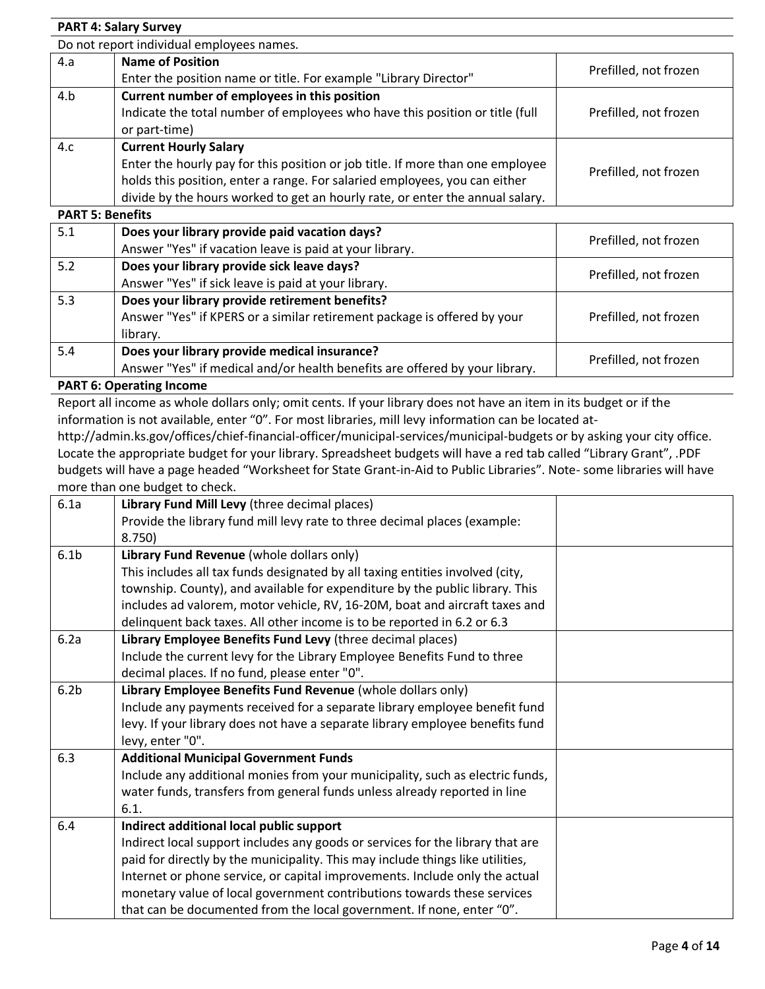#### **PART 4: Salary Survey** Do not report individual employees names. 4.a **Name of Position** Enter the position name or title. For example "Library Director" Prefilled, not frozen 4.b **Current number of employees in this position** Indicate the total number of employees who have this position or title (full or part-time) Prefilled, not frozen 4.c **Current Hourly Salary** Enter the hourly pay for this position or job title. If more than one employee holds this position, enter a range. For salaried employees, you can either divide by the hours worked to get an hourly rate, or enter the annual salary. Prefilled, not frozen

**PART 5: Benefits**

| Does your library provide paid vacation days?                               | Prefilled, not frozen                                   |
|-----------------------------------------------------------------------------|---------------------------------------------------------|
|                                                                             |                                                         |
| Does your library provide sick leave days?                                  | Prefilled, not frozen                                   |
| Answer "Yes" if sick leave is paid at your library.                         |                                                         |
| Does your library provide retirement benefits?                              |                                                         |
| Answer "Yes" if KPERS or a similar retirement package is offered by your    | Prefilled, not frozen                                   |
| library.                                                                    |                                                         |
| Does your library provide medical insurance?                                |                                                         |
| Answer "Yes" if medical and/or health benefits are offered by your library. | Prefilled, not frozen                                   |
|                                                                             | Answer "Yes" if vacation leave is paid at your library. |

### **PART 6: Operating Income**

Report all income as whole dollars only; omit cents. If your library does not have an item in its budget or if the information is not available, enter "0". For most libraries, mill levy information can be located at-

http://admin.ks.gov/offices/chief-financial-officer/municipal-services/municipal-budgets or by asking your city office. Locate the appropriate budget for your library. Spreadsheet budgets will have a red tab called "Library Grant", .PDF budgets will have a page headed "Worksheet for State Grant-in-Aid to Public Libraries". Note- some libraries will have more than one budget to check.

| 6.1a             | Library Fund Mill Levy (three decimal places)                                  |  |
|------------------|--------------------------------------------------------------------------------|--|
|                  | Provide the library fund mill levy rate to three decimal places (example:      |  |
|                  | 8.750)                                                                         |  |
| 6.1 <sub>b</sub> | Library Fund Revenue (whole dollars only)                                      |  |
|                  | This includes all tax funds designated by all taxing entities involved (city,  |  |
|                  | township. County), and available for expenditure by the public library. This   |  |
|                  | includes ad valorem, motor vehicle, RV, 16-20M, boat and aircraft taxes and    |  |
|                  | delinquent back taxes. All other income is to be reported in 6.2 or 6.3        |  |
| 6.2a             | Library Employee Benefits Fund Levy (three decimal places)                     |  |
|                  | Include the current levy for the Library Employee Benefits Fund to three       |  |
|                  | decimal places. If no fund, please enter "0".                                  |  |
| 6.2 <sub>b</sub> | Library Employee Benefits Fund Revenue (whole dollars only)                    |  |
|                  | Include any payments received for a separate library employee benefit fund     |  |
|                  | levy. If your library does not have a separate library employee benefits fund  |  |
|                  | levy, enter "0".                                                               |  |
| 6.3              | <b>Additional Municipal Government Funds</b>                                   |  |
|                  | Include any additional monies from your municipality, such as electric funds,  |  |
|                  | water funds, transfers from general funds unless already reported in line      |  |
|                  | 6.1.                                                                           |  |
| 6.4              | Indirect additional local public support                                       |  |
|                  | Indirect local support includes any goods or services for the library that are |  |
|                  | paid for directly by the municipality. This may include things like utilities, |  |
|                  | Internet or phone service, or capital improvements. Include only the actual    |  |
|                  | monetary value of local government contributions towards these services        |  |
|                  | that can be documented from the local government. If none, enter "0".          |  |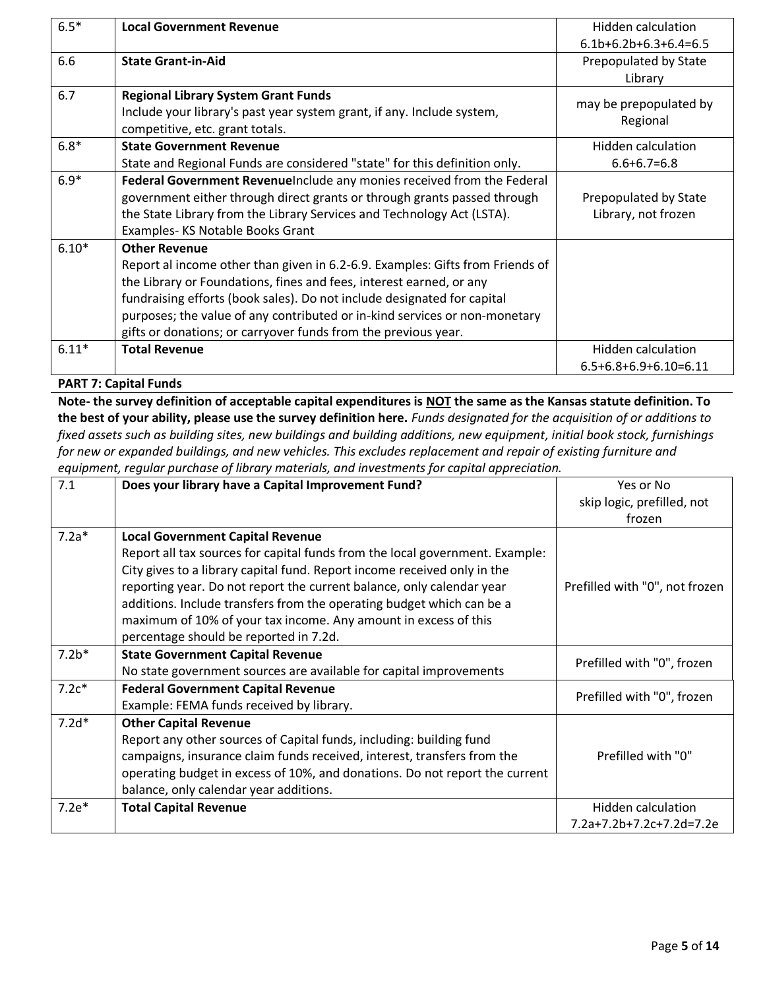| $6.5*$  | <b>Local Government Revenue</b>                                               | Hidden calculation      |
|---------|-------------------------------------------------------------------------------|-------------------------|
|         |                                                                               | $6.1b+6.2b+6.3+6.4=6.5$ |
| 6.6     | <b>State Grant-in-Aid</b>                                                     | Prepopulated by State   |
|         |                                                                               | Library                 |
| 6.7     | <b>Regional Library System Grant Funds</b>                                    | may be prepopulated by  |
|         | Include your library's past year system grant, if any. Include system,        | Regional                |
|         | competitive, etc. grant totals.                                               |                         |
| $6.8*$  | <b>State Government Revenue</b>                                               | Hidden calculation      |
|         | State and Regional Funds are considered "state" for this definition only.     | $6.6 + 6.7 = 6.8$       |
| $6.9*$  | Federal Government RevenueInclude any monies received from the Federal        |                         |
|         | government either through direct grants or through grants passed through      | Prepopulated by State   |
|         | the State Library from the Library Services and Technology Act (LSTA).        | Library, not frozen     |
|         | Examples-KS Notable Books Grant                                               |                         |
| $6.10*$ | <b>Other Revenue</b>                                                          |                         |
|         | Report al income other than given in 6.2-6.9. Examples: Gifts from Friends of |                         |
|         | the Library or Foundations, fines and fees, interest earned, or any           |                         |
|         | fundraising efforts (book sales). Do not include designated for capital       |                         |
|         | purposes; the value of any contributed or in-kind services or non-monetary    |                         |
|         | gifts or donations; or carryover funds from the previous year.                |                         |
| $6.11*$ | <b>Total Revenue</b>                                                          | Hidden calculation      |
|         |                                                                               | $6.5+6.8+6.9+6.10=6.11$ |

**PART 7: Capital Funds**

**Note- the survey definition of acceptable capital expenditures is NOT the same as the Kansas statute definition. To the best of your ability, please use the survey definition here.** *Funds designated for the acquisition of or additions to fixed assets such as building sites, new buildings and building additions, new equipment, initial book stock, furnishings for new or expanded buildings, and new vehicles. This excludes replacement and repair of existing furniture and equipment, regular purchase of library materials, and investments for capital appreciation.*

| 7.1     | Does your library have a Capital Improvement Fund?                                                                                                                                                                                                                                                                                                                                                                      | Yes or No<br>skip logic, prefilled, not<br>frozen |
|---------|-------------------------------------------------------------------------------------------------------------------------------------------------------------------------------------------------------------------------------------------------------------------------------------------------------------------------------------------------------------------------------------------------------------------------|---------------------------------------------------|
| $7.2a*$ | <b>Local Government Capital Revenue</b>                                                                                                                                                                                                                                                                                                                                                                                 |                                                   |
|         | Report all tax sources for capital funds from the local government. Example:<br>City gives to a library capital fund. Report income received only in the<br>reporting year. Do not report the current balance, only calendar year<br>additions. Include transfers from the operating budget which can be a<br>maximum of 10% of your tax income. Any amount in excess of this<br>percentage should be reported in 7.2d. | Prefilled with "0", not frozen                    |
| $7.2*$  | <b>State Government Capital Revenue</b>                                                                                                                                                                                                                                                                                                                                                                                 |                                                   |
|         | No state government sources are available for capital improvements                                                                                                                                                                                                                                                                                                                                                      | Prefilled with "0", frozen                        |
| $7.2c*$ | <b>Federal Government Capital Revenue</b><br>Example: FEMA funds received by library.                                                                                                                                                                                                                                                                                                                                   | Prefilled with "0", frozen                        |
| $7.2d*$ | <b>Other Capital Revenue</b><br>Report any other sources of Capital funds, including: building fund<br>campaigns, insurance claim funds received, interest, transfers from the<br>operating budget in excess of 10%, and donations. Do not report the current<br>balance, only calendar year additions.                                                                                                                 | Prefilled with "0"                                |
| $7.2e*$ | <b>Total Capital Revenue</b>                                                                                                                                                                                                                                                                                                                                                                                            | Hidden calculation                                |
|         |                                                                                                                                                                                                                                                                                                                                                                                                                         | 7.2a+7.2b+7.2c+7.2d=7.2e                          |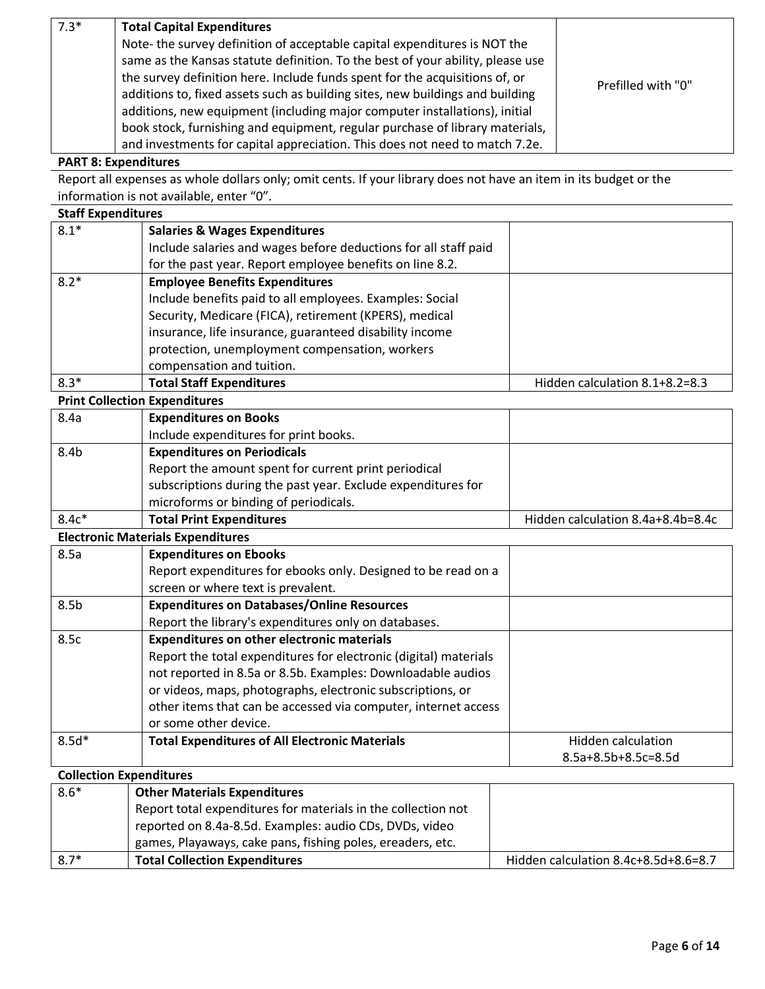| $7.3*$ | <b>Total Capital Expenditures</b>                                                                                                                                                                                                                                                                                           |                    |
|--------|-----------------------------------------------------------------------------------------------------------------------------------------------------------------------------------------------------------------------------------------------------------------------------------------------------------------------------|--------------------|
|        | Note- the survey definition of acceptable capital expenditures is NOT the<br>same as the Kansas statute definition. To the best of your ability, please use<br>the survey definition here. Include funds spent for the acquisitions of, or<br>additions to, fixed assets such as building sites, new buildings and building | Prefilled with "0" |
|        | additions, new equipment (including major computer installations), initial<br>book stock, furnishing and equipment, regular purchase of library materials,<br>and investments for capital appreciation. This does not need to match 7.2e.                                                                                   |                    |

### **PART 8: Expenditures**

Report all expenses as whole dollars only; omit cents. If your library does not have an item in its budget or the information is not available, enter "0".

#### **Staff Expenditures**

| $8.1*$ | <b>Salaries &amp; Wages Expenditures</b><br>Include salaries and wages before deductions for all staff paid<br>for the past year. Report employee benefits on line 8.2.                                                                                                                               |                                |
|--------|-------------------------------------------------------------------------------------------------------------------------------------------------------------------------------------------------------------------------------------------------------------------------------------------------------|--------------------------------|
| $8.2*$ | <b>Employee Benefits Expenditures</b><br>Include benefits paid to all employees. Examples: Social<br>Security, Medicare (FICA), retirement (KPERS), medical<br>insurance, life insurance, guaranteed disability income<br>protection, unemployment compensation, workers<br>compensation and tuition. |                                |
| $8.3*$ | <b>Total Staff Expenditures</b>                                                                                                                                                                                                                                                                       | Hidden calculation 8.1+8.2=8.3 |

**Print Collection Expenditures**

| 8.4a    | <b>Expenditures on Books</b>                                 |                                   |
|---------|--------------------------------------------------------------|-----------------------------------|
|         | Include expenditures for print books.                        |                                   |
| 8.4b    | <b>Expenditures on Periodicals</b>                           |                                   |
|         | Report the amount spent for current print periodical         |                                   |
|         | subscriptions during the past year. Exclude expenditures for |                                   |
|         | microforms or binding of periodicals.                        |                                   |
| $8.4c*$ | <b>Total Print Expenditures</b>                              | Hidden calculation 8.4a+8.4b=8.4c |

**Electronic Materials Expenditures**

| 8.5a             | <b>Expenditures on Ebooks</b><br>Report expenditures for ebooks only. Designed to be read on a<br>screen or where text is prevalent.                                                                                                                                                                                                          |                                           |
|------------------|-----------------------------------------------------------------------------------------------------------------------------------------------------------------------------------------------------------------------------------------------------------------------------------------------------------------------------------------------|-------------------------------------------|
| 8.5 <sub>b</sub> | <b>Expenditures on Databases/Online Resources</b><br>Report the library's expenditures only on databases.                                                                                                                                                                                                                                     |                                           |
| 8.5c             | <b>Expenditures on other electronic materials</b><br>Report the total expenditures for electronic (digital) materials<br>not reported in 8.5a or 8.5b. Examples: Downloadable audios<br>or videos, maps, photographs, electronic subscriptions, or<br>other items that can be accessed via computer, internet access<br>or some other device. |                                           |
| $8.5d*$          | <b>Total Expenditures of All Electronic Materials</b>                                                                                                                                                                                                                                                                                         | Hidden calculation<br>8.5a+8.5b+8.5c=8.5d |

# **Collection Expenditures**

| $8.6*$ | <b>Other Materials Expenditures</b>                           |                                      |
|--------|---------------------------------------------------------------|--------------------------------------|
|        | Report total expenditures for materials in the collection not |                                      |
|        | reported on 8.4a-8.5d. Examples: audio CDs, DVDs, video       |                                      |
|        | games, Playaways, cake pans, fishing poles, ereaders, etc.    |                                      |
| $8.7*$ | <b>Total Collection Expenditures</b>                          | Hidden calculation 8.4c+8.5d+8.6=8.7 |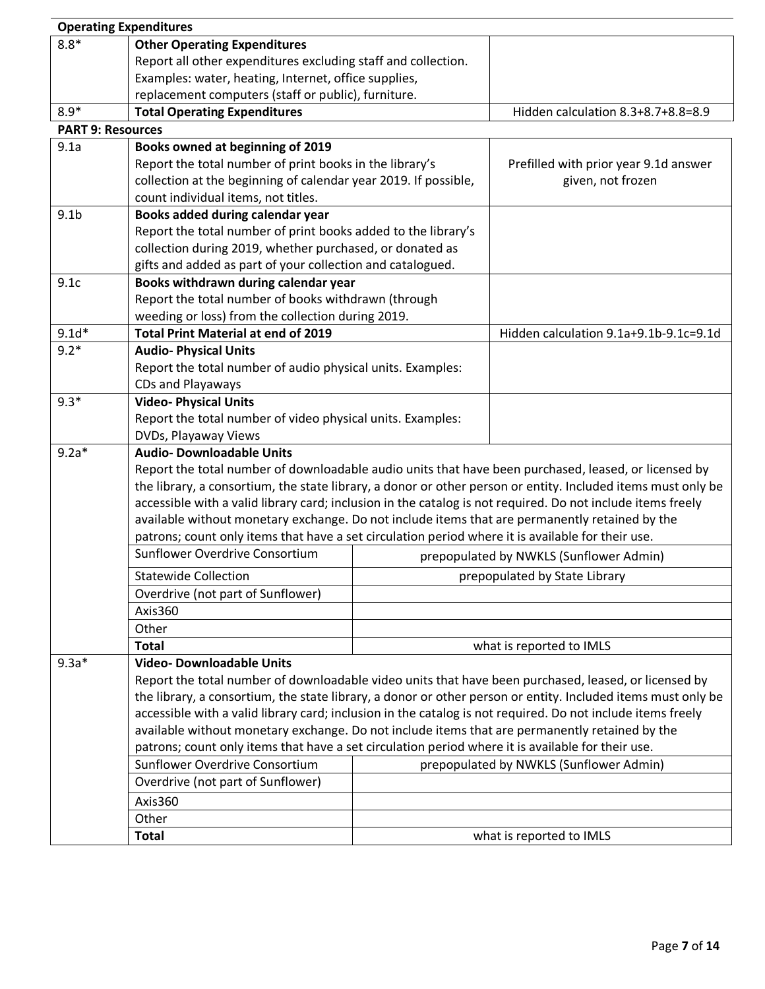|                          | <b>Operating Expenditures</b>                                                                                |  |                                                                                                              |  |
|--------------------------|--------------------------------------------------------------------------------------------------------------|--|--------------------------------------------------------------------------------------------------------------|--|
| $8.8*$                   | <b>Other Operating Expenditures</b>                                                                          |  |                                                                                                              |  |
|                          | Report all other expenditures excluding staff and collection.                                                |  |                                                                                                              |  |
|                          | Examples: water, heating, Internet, office supplies,                                                         |  |                                                                                                              |  |
|                          | replacement computers (staff or public), furniture.                                                          |  |                                                                                                              |  |
| $8.9*$                   | <b>Total Operating Expenditures</b>                                                                          |  | Hidden calculation 8.3+8.7+8.8=8.9                                                                           |  |
| <b>PART 9: Resources</b> |                                                                                                              |  |                                                                                                              |  |
| 9.1a                     | Books owned at beginning of 2019                                                                             |  |                                                                                                              |  |
|                          | Report the total number of print books in the library's                                                      |  | Prefilled with prior year 9.1d answer                                                                        |  |
|                          | collection at the beginning of calendar year 2019. If possible,                                              |  | given, not frozen                                                                                            |  |
|                          | count individual items, not titles.                                                                          |  |                                                                                                              |  |
| 9.1 <sub>b</sub>         | Books added during calendar year                                                                             |  |                                                                                                              |  |
|                          | Report the total number of print books added to the library's                                                |  |                                                                                                              |  |
|                          | collection during 2019, whether purchased, or donated as                                                     |  |                                                                                                              |  |
|                          | gifts and added as part of your collection and catalogued.                                                   |  |                                                                                                              |  |
| 9.1c                     | Books withdrawn during calendar year                                                                         |  |                                                                                                              |  |
|                          | Report the total number of books withdrawn (through                                                          |  |                                                                                                              |  |
|                          | weeding or loss) from the collection during 2019.                                                            |  |                                                                                                              |  |
| $9.1d*$                  | <b>Total Print Material at end of 2019</b>                                                                   |  | Hidden calculation 9.1a+9.1b-9.1c=9.1d                                                                       |  |
| $9.2*$                   | <b>Audio-Physical Units</b>                                                                                  |  |                                                                                                              |  |
|                          | Report the total number of audio physical units. Examples:                                                   |  |                                                                                                              |  |
|                          | CDs and Playaways                                                                                            |  |                                                                                                              |  |
| $9.3*$                   | <b>Video-Physical Units</b>                                                                                  |  |                                                                                                              |  |
|                          | Report the total number of video physical units. Examples:                                                   |  |                                                                                                              |  |
|                          | DVDs, Playaway Views                                                                                         |  |                                                                                                              |  |
| $9.2a*$                  | <b>Audio- Downloadable Units</b>                                                                             |  |                                                                                                              |  |
|                          | Report the total number of downloadable audio units that have been purchased, leased, or licensed by         |  |                                                                                                              |  |
|                          | the library, a consortium, the state library, a donor or other person or entity. Included items must only be |  |                                                                                                              |  |
|                          | accessible with a valid library card; inclusion in the catalog is not required. Do not include items freely  |  |                                                                                                              |  |
|                          | available without monetary exchange. Do not include items that are permanently retained by the               |  |                                                                                                              |  |
|                          | patrons; count only items that have a set circulation period where it is available for their use.            |  |                                                                                                              |  |
|                          | Sunflower Overdrive Consortium                                                                               |  | prepopulated by NWKLS (Sunflower Admin)                                                                      |  |
|                          | <b>Statewide Collection</b>                                                                                  |  | prepopulated by State Library                                                                                |  |
|                          | Overdrive (not part of Sunflower)                                                                            |  |                                                                                                              |  |
|                          | Axis360                                                                                                      |  |                                                                                                              |  |
|                          | Other                                                                                                        |  |                                                                                                              |  |
|                          | <b>Total</b>                                                                                                 |  | what is reported to IMLS                                                                                     |  |
| $9.3a*$                  | <b>Video-Downloadable Units</b>                                                                              |  |                                                                                                              |  |
|                          |                                                                                                              |  | Report the total number of downloadable video units that have been purchased, leased, or licensed by         |  |
|                          |                                                                                                              |  | the library, a consortium, the state library, a donor or other person or entity. Included items must only be |  |
|                          | accessible with a valid library card; inclusion in the catalog is not required. Do not include items freely  |  |                                                                                                              |  |
|                          | available without monetary exchange. Do not include items that are permanently retained by the               |  |                                                                                                              |  |
|                          | patrons; count only items that have a set circulation period where it is available for their use.            |  |                                                                                                              |  |
|                          | Sunflower Overdrive Consortium                                                                               |  | prepopulated by NWKLS (Sunflower Admin)                                                                      |  |
|                          | Overdrive (not part of Sunflower)                                                                            |  |                                                                                                              |  |
|                          | Axis360                                                                                                      |  |                                                                                                              |  |
|                          | Other                                                                                                        |  |                                                                                                              |  |
|                          | Total                                                                                                        |  | what is reported to IMLS                                                                                     |  |
|                          |                                                                                                              |  |                                                                                                              |  |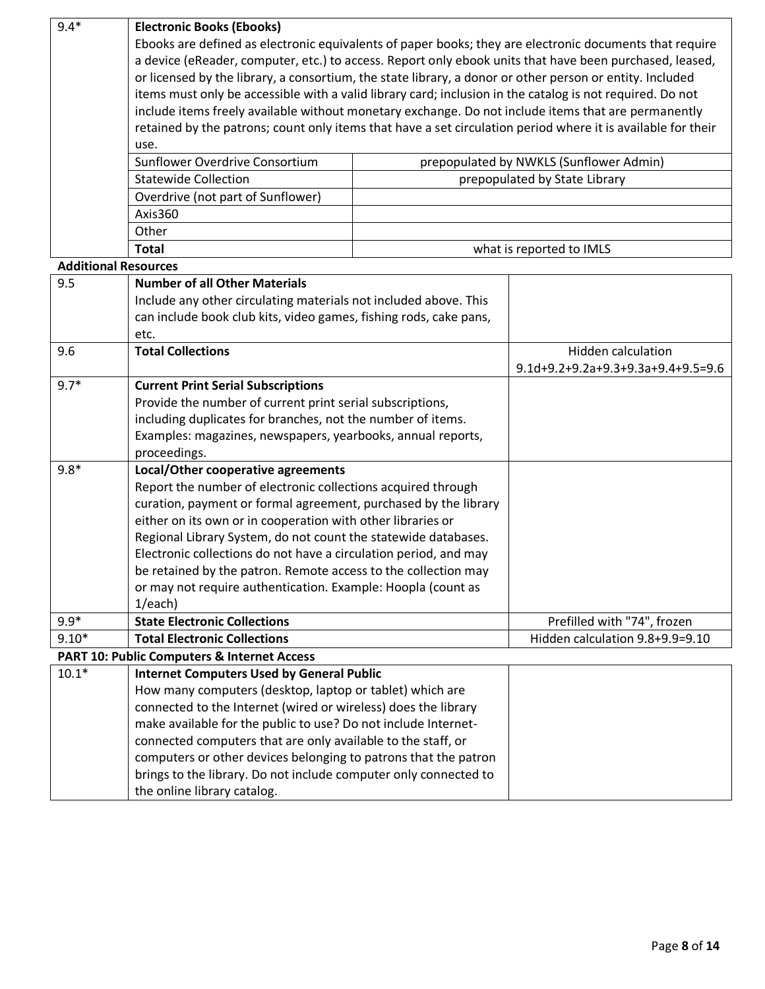| $9.4*$                      | <b>Electronic Books (Ebooks)</b>                                                                                                                                                        |  |                                         |  |
|-----------------------------|-----------------------------------------------------------------------------------------------------------------------------------------------------------------------------------------|--|-----------------------------------------|--|
|                             | Ebooks are defined as electronic equivalents of paper books; they are electronic documents that require                                                                                 |  |                                         |  |
|                             | a device (eReader, computer, etc.) to access. Report only ebook units that have been purchased, leased,                                                                                 |  |                                         |  |
|                             | or licensed by the library, a consortium, the state library, a donor or other person or entity. Included                                                                                |  |                                         |  |
|                             | items must only be accessible with a valid library card; inclusion in the catalog is not required. Do not                                                                               |  |                                         |  |
|                             | include items freely available without monetary exchange. Do not include items that are permanently                                                                                     |  |                                         |  |
|                             | retained by the patrons; count only items that have a set circulation period where it is available for their                                                                            |  |                                         |  |
|                             | use.                                                                                                                                                                                    |  |                                         |  |
|                             | Sunflower Overdrive Consortium                                                                                                                                                          |  | prepopulated by NWKLS (Sunflower Admin) |  |
|                             | <b>Statewide Collection</b>                                                                                                                                                             |  | prepopulated by State Library           |  |
|                             | Overdrive (not part of Sunflower)                                                                                                                                                       |  |                                         |  |
|                             | Axis360                                                                                                                                                                                 |  |                                         |  |
|                             | Other                                                                                                                                                                                   |  |                                         |  |
|                             | <b>Total</b>                                                                                                                                                                            |  | what is reported to IMLS                |  |
| <b>Additional Resources</b> |                                                                                                                                                                                         |  |                                         |  |
| 9.5                         | <b>Number of all Other Materials</b>                                                                                                                                                    |  |                                         |  |
|                             | Include any other circulating materials not included above. This                                                                                                                        |  |                                         |  |
|                             | can include book club kits, video games, fishing rods, cake pans,                                                                                                                       |  |                                         |  |
|                             | etc.                                                                                                                                                                                    |  |                                         |  |
| 9.6                         | <b>Total Collections</b>                                                                                                                                                                |  | <b>Hidden calculation</b>               |  |
|                             |                                                                                                                                                                                         |  | 9.1d+9.2+9.2a+9.3+9.3a+9.4+9.5=9.6      |  |
| $9.7*$                      | <b>Current Print Serial Subscriptions</b>                                                                                                                                               |  |                                         |  |
|                             | Provide the number of current print serial subscriptions,<br>including duplicates for branches, not the number of items.<br>Examples: magazines, newspapers, yearbooks, annual reports, |  |                                         |  |
|                             |                                                                                                                                                                                         |  |                                         |  |
|                             |                                                                                                                                                                                         |  |                                         |  |
|                             | proceedings.                                                                                                                                                                            |  |                                         |  |
| $9.8*$                      | Local/Other cooperative agreements                                                                                                                                                      |  |                                         |  |
|                             | Report the number of electronic collections acquired through                                                                                                                            |  |                                         |  |
|                             | curation, payment or formal agreement, purchased by the library                                                                                                                         |  |                                         |  |
|                             | either on its own or in cooperation with other libraries or<br>Regional Library System, do not count the statewide databases.                                                           |  |                                         |  |
|                             |                                                                                                                                                                                         |  |                                         |  |
|                             | Electronic collections do not have a circulation period, and may<br>be retained by the patron. Remote access to the collection may                                                      |  |                                         |  |
|                             | or may not require authentication. Example: Hoopla (count as                                                                                                                            |  |                                         |  |
|                             | 1/each)                                                                                                                                                                                 |  |                                         |  |
| $9.9*$                      | <b>State Electronic Collections</b>                                                                                                                                                     |  | Prefilled with "74", frozen             |  |
| $9.10*$                     | <b>Total Electronic Collections</b>                                                                                                                                                     |  | Hidden calculation 9.8+9.9=9.10         |  |
|                             | PART 10: Public Computers & Internet Access                                                                                                                                             |  |                                         |  |
| $10.1*$                     | <b>Internet Computers Used by General Public</b>                                                                                                                                        |  |                                         |  |
|                             | How many computers (desktop, laptop or tablet) which are                                                                                                                                |  |                                         |  |
|                             | connected to the Internet (wired or wireless) does the library                                                                                                                          |  |                                         |  |
|                             | make available for the public to use? Do not include Internet-                                                                                                                          |  |                                         |  |
|                             | connected computers that are only available to the staff, or                                                                                                                            |  |                                         |  |
|                             | computers or other devices belonging to patrons that the patron                                                                                                                         |  |                                         |  |
|                             | brings to the library. Do not include computer only connected to                                                                                                                        |  |                                         |  |
|                             | the online library catalog.                                                                                                                                                             |  |                                         |  |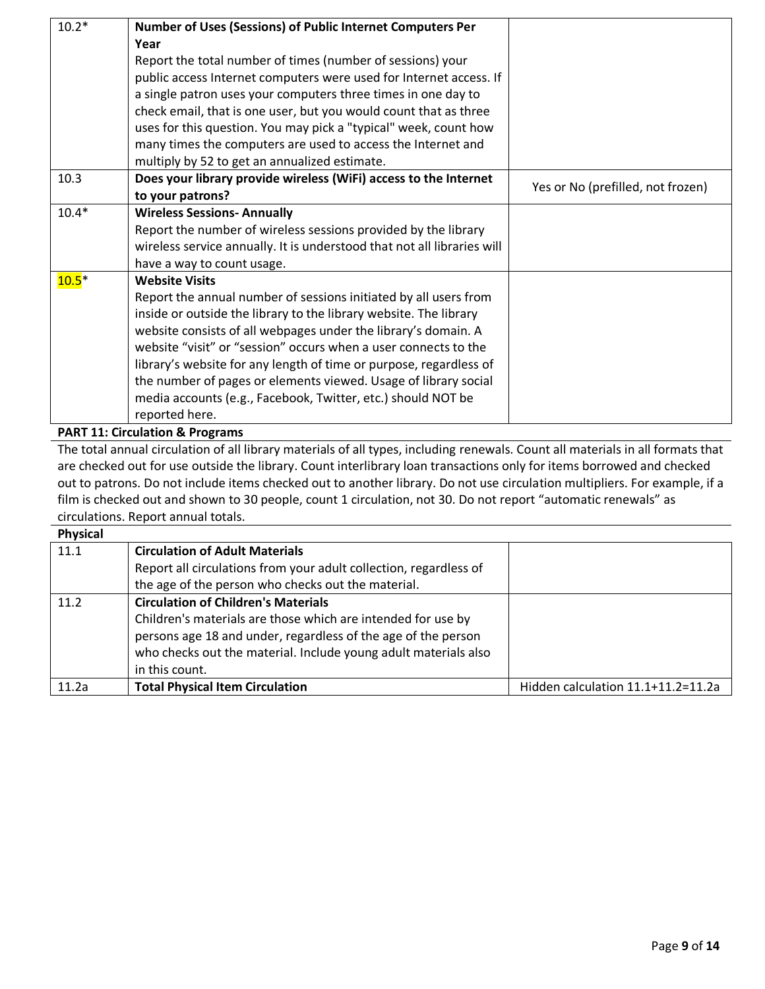| $10.2*$ | Number of Uses (Sessions) of Public Internet Computers Per              |                                   |
|---------|-------------------------------------------------------------------------|-----------------------------------|
|         | Year                                                                    |                                   |
|         | Report the total number of times (number of sessions) your              |                                   |
|         | public access Internet computers were used for Internet access. If      |                                   |
|         | a single patron uses your computers three times in one day to           |                                   |
|         | check email, that is one user, but you would count that as three        |                                   |
|         | uses for this question. You may pick a "typical" week, count how        |                                   |
|         | many times the computers are used to access the Internet and            |                                   |
|         | multiply by 52 to get an annualized estimate.                           |                                   |
| 10.3    | Does your library provide wireless (WiFi) access to the Internet        | Yes or No (prefilled, not frozen) |
|         | to your patrons?                                                        |                                   |
| $10.4*$ | <b>Wireless Sessions- Annually</b>                                      |                                   |
|         | Report the number of wireless sessions provided by the library          |                                   |
|         | wireless service annually. It is understood that not all libraries will |                                   |
|         | have a way to count usage.                                              |                                   |
| $10.5*$ | <b>Website Visits</b>                                                   |                                   |
|         | Report the annual number of sessions initiated by all users from        |                                   |
|         | inside or outside the library to the library website. The library       |                                   |
|         | website consists of all webpages under the library's domain. A          |                                   |
|         | website "visit" or "session" occurs when a user connects to the         |                                   |
|         | library's website for any length of time or purpose, regardless of      |                                   |
|         | the number of pages or elements viewed. Usage of library social         |                                   |
|         | media accounts (e.g., Facebook, Twitter, etc.) should NOT be            |                                   |
|         | reported here.                                                          |                                   |
|         | <b>PART 11: Circulation &amp; Programs</b>                              |                                   |

The total annual circulation of all library materials of all types, including renewals. Count all materials in all formats that are checked out for use outside the library. Count interlibrary loan transactions only for items borrowed and checked out to patrons. Do not include items checked out to another library. Do not use circulation multipliers. For example, if a film is checked out and shown to 30 people, count 1 circulation, not 30. Do not report "automatic renewals" as circulations. Report annual totals.

| <b>Physical</b> |                                                                   |                                    |
|-----------------|-------------------------------------------------------------------|------------------------------------|
| 11.1            | <b>Circulation of Adult Materials</b>                             |                                    |
|                 | Report all circulations from your adult collection, regardless of |                                    |
|                 | the age of the person who checks out the material.                |                                    |
| 11.2            | <b>Circulation of Children's Materials</b>                        |                                    |
|                 | Children's materials are those which are intended for use by      |                                    |
|                 | persons age 18 and under, regardless of the age of the person     |                                    |
|                 | who checks out the material. Include young adult materials also   |                                    |
|                 | in this count.                                                    |                                    |
| 11.2a           | <b>Total Physical Item Circulation</b>                            | Hidden calculation 11.1+11.2=11.2a |
|                 |                                                                   |                                    |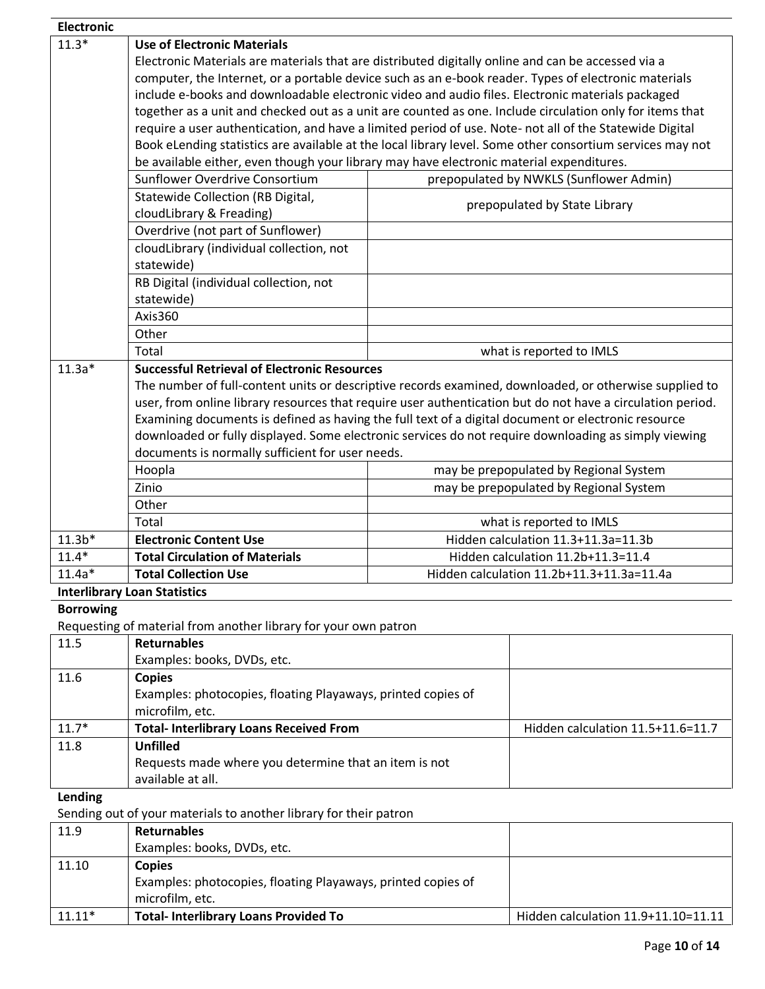| <b>Electronic</b>                   |                                                                                                            |                          |                                           |
|-------------------------------------|------------------------------------------------------------------------------------------------------------|--------------------------|-------------------------------------------|
| $11.3*$                             | <b>Use of Electronic Materials</b>                                                                         |                          |                                           |
|                                     | Electronic Materials are materials that are distributed digitally online and can be accessed via a         |                          |                                           |
|                                     | computer, the Internet, or a portable device such as an e-book reader. Types of electronic materials       |                          |                                           |
|                                     | include e-books and downloadable electronic video and audio files. Electronic materials packaged           |                          |                                           |
|                                     | together as a unit and checked out as a unit are counted as one. Include circulation only for items that   |                          |                                           |
|                                     | require a user authentication, and have a limited period of use. Note- not all of the Statewide Digital    |                          |                                           |
|                                     | Book eLending statistics are available at the local library level. Some other consortium services may not  |                          |                                           |
|                                     | be available either, even though your library may have electronic material expenditures.                   |                          |                                           |
|                                     | Sunflower Overdrive Consortium                                                                             |                          | prepopulated by NWKLS (Sunflower Admin)   |
|                                     | Statewide Collection (RB Digital,                                                                          |                          |                                           |
|                                     | cloudLibrary & Freading)                                                                                   |                          | prepopulated by State Library             |
|                                     | Overdrive (not part of Sunflower)                                                                          |                          |                                           |
|                                     | cloudLibrary (individual collection, not                                                                   |                          |                                           |
|                                     | statewide)                                                                                                 |                          |                                           |
|                                     | RB Digital (individual collection, not                                                                     |                          |                                           |
|                                     | statewide)                                                                                                 |                          |                                           |
|                                     | Axis360                                                                                                    |                          |                                           |
|                                     | Other                                                                                                      |                          |                                           |
|                                     | Total                                                                                                      |                          | what is reported to IMLS                  |
| $11.3a*$                            | <b>Successful Retrieval of Electronic Resources</b>                                                        |                          |                                           |
|                                     | The number of full-content units or descriptive records examined, downloaded, or otherwise supplied to     |                          |                                           |
|                                     | user, from online library resources that require user authentication but do not have a circulation period. |                          |                                           |
|                                     | Examining documents is defined as having the full text of a digital document or electronic resource        |                          |                                           |
|                                     | downloaded or fully displayed. Some electronic services do not require downloading as simply viewing       |                          |                                           |
|                                     | documents is normally sufficient for user needs.                                                           |                          |                                           |
|                                     | Hoopla                                                                                                     |                          | may be prepopulated by Regional System    |
|                                     | Zinio                                                                                                      |                          | may be prepopulated by Regional System    |
|                                     | Other                                                                                                      |                          |                                           |
|                                     | Total                                                                                                      | what is reported to IMLS |                                           |
| $11.3b*$                            | <b>Electronic Content Use</b>                                                                              |                          | Hidden calculation 11.3+11.3a=11.3b       |
| $11.4*$                             | <b>Total Circulation of Materials</b>                                                                      |                          | Hidden calculation 11.2b+11.3=11.4        |
| $11.4a*$                            | <b>Total Collection Use</b>                                                                                |                          | Hidden calculation 11.2b+11.3+11.3a=11.4a |
| <b>Interlibrary Loan Statistics</b> |                                                                                                            |                          |                                           |
| <b>Borrowing</b>                    |                                                                                                            |                          |                                           |
|                                     | Requesting of material from another library for your own patron                                            |                          |                                           |
| 11.5                                | <b>Returnables</b>                                                                                         |                          |                                           |
|                                     | Examples: books, DVDs, etc.                                                                                |                          |                                           |
| 11.6                                | <b>Copies</b>                                                                                              |                          |                                           |
|                                     | Examples: photocopies, floating Playaways, printed copies of                                               |                          |                                           |
|                                     | microfilm, etc.                                                                                            |                          |                                           |
| $11.7*$                             | <b>Total- Interlibrary Loans Received From</b>                                                             |                          | Hidden calculation 11.5+11.6=11.7         |
| 11.8                                | <b>Unfilled</b>                                                                                            |                          |                                           |
|                                     | Requests made where you determine that an item is not                                                      |                          |                                           |
|                                     | available at all.                                                                                          |                          |                                           |
| Lending                             |                                                                                                            |                          |                                           |
|                                     | Sending out of your materials to another library for their patron                                          |                          |                                           |
| 11.9                                | <b>Returnables</b>                                                                                         |                          |                                           |
|                                     | Examples: books, DVDs, etc.                                                                                |                          |                                           |
| 11.10                               | <b>Copies</b>                                                                                              |                          |                                           |
|                                     | Examples: photocopies, floating Playaways, printed copies of                                               |                          |                                           |
|                                     | microfilm, etc.                                                                                            |                          |                                           |
| $11.11*$                            | <b>Total- Interlibrary Loans Provided To</b>                                                               |                          | Hidden calculation 11.9+11.10=11.11       |
|                                     |                                                                                                            |                          |                                           |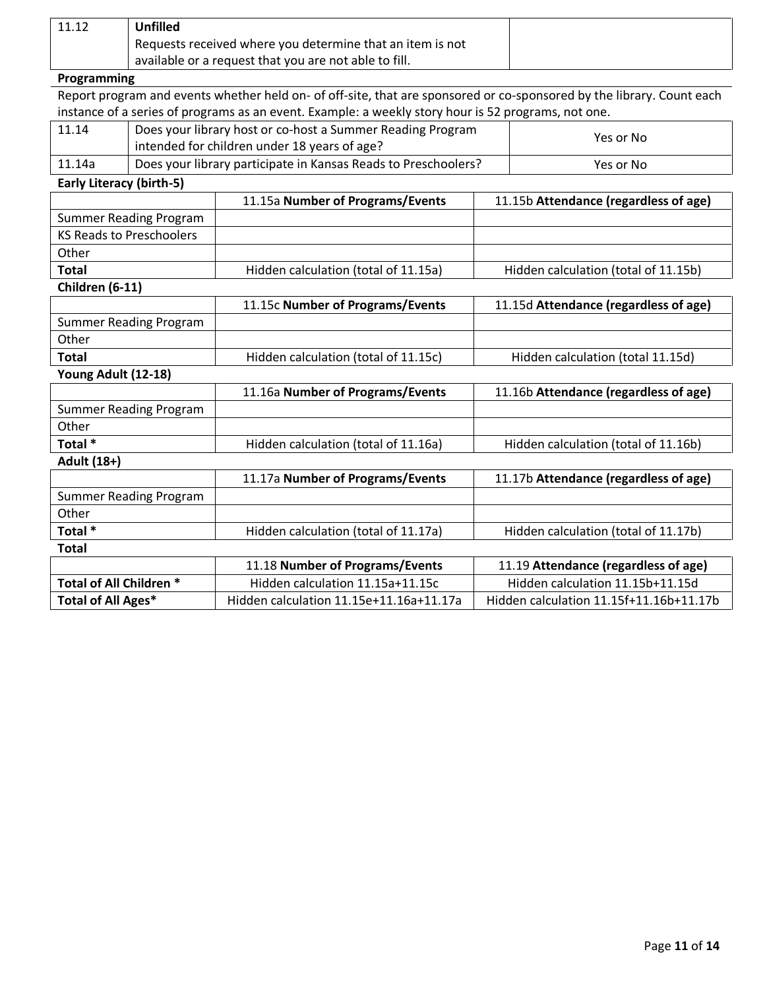| 11.12 | Unfilled                                                  |
|-------|-----------------------------------------------------------|
|       | Requests received where you determine that an item is not |
|       | available or a request that you are not able to fill.     |

# **Programming**

Report program and events whether held on- of off-site, that are sponsored or co-sponsored by the library. Count each instance of a series of programs as an event. Example: a weekly story hour is 52 programs, not one.

| 11.14  | Does your library host or co-host a Summer Reading Program<br>intended for children under 18 years of age? | Yes or No |
|--------|------------------------------------------------------------------------------------------------------------|-----------|
| 11.14a | Does your library participate in Kansas Reads to Preschoolers?                                             | Yes or No |

**Early Literacy (birth-5)**

|                                 | 11.15a Number of Programs/Events        | 11.15b Attendance (regardless of age)   |
|---------------------------------|-----------------------------------------|-----------------------------------------|
| <b>Summer Reading Program</b>   |                                         |                                         |
| <b>KS Reads to Preschoolers</b> |                                         |                                         |
| Other                           |                                         |                                         |
| <b>Total</b>                    | Hidden calculation (total of 11.15a)    | Hidden calculation (total of 11.15b)    |
| Children (6-11)                 |                                         |                                         |
|                                 | 11.15c Number of Programs/Events        | 11.15d Attendance (regardless of age)   |
| <b>Summer Reading Program</b>   |                                         |                                         |
| Other                           |                                         |                                         |
| <b>Total</b>                    | Hidden calculation (total of 11.15c)    | Hidden calculation (total 11.15d)       |
| Young Adult (12-18)             |                                         |                                         |
|                                 | 11.16a Number of Programs/Events        | 11.16b Attendance (regardless of age)   |
| <b>Summer Reading Program</b>   |                                         |                                         |
| Other                           |                                         |                                         |
| Total *                         | Hidden calculation (total of 11.16a)    | Hidden calculation (total of 11.16b)    |
| Adult (18+)                     |                                         |                                         |
|                                 | 11.17a Number of Programs/Events        | 11.17b Attendance (regardless of age)   |
| <b>Summer Reading Program</b>   |                                         |                                         |
| Other                           |                                         |                                         |
| Total *                         | Hidden calculation (total of 11.17a)    | Hidden calculation (total of 11.17b)    |
| Total                           |                                         |                                         |
|                                 | 11.18 Number of Programs/Events         | 11.19 Attendance (regardless of age)    |
| Total of All Children *         | Hidden calculation 11.15a+11.15c        | Hidden calculation 11.15b+11.15d        |
| Total of All Ages*              | Hidden calculation 11.15e+11.16a+11.17a | Hidden calculation 11.15f+11.16b+11.17b |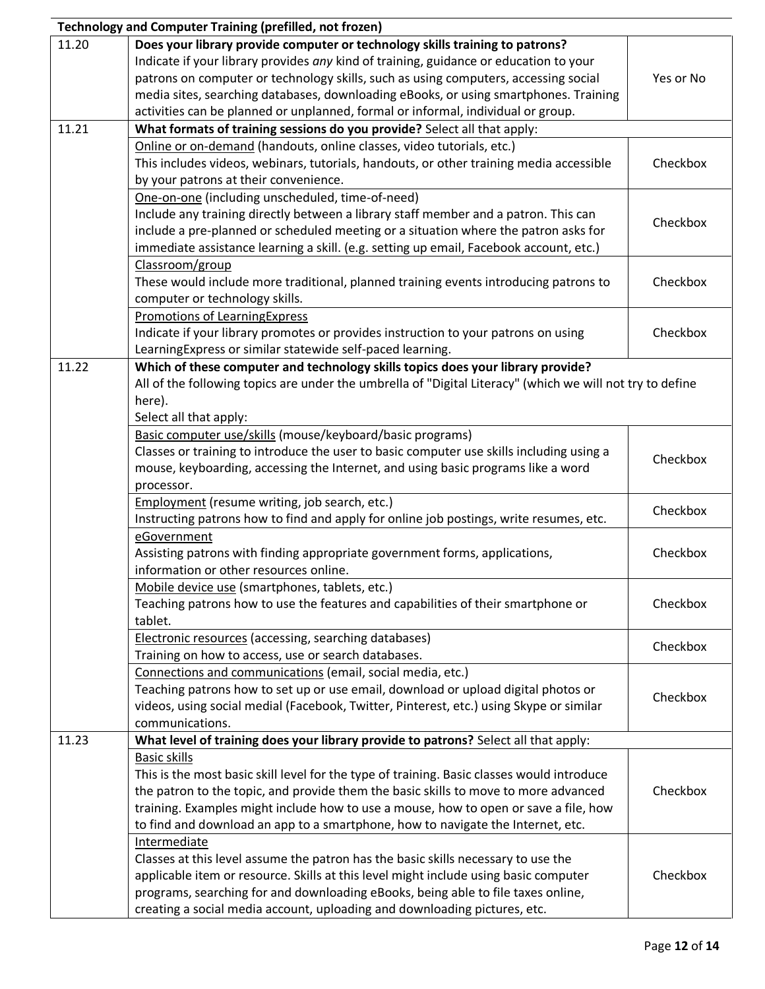|       | <b>Technology and Computer Training (prefilled, not frozen)</b>                                           |           |
|-------|-----------------------------------------------------------------------------------------------------------|-----------|
| 11.20 | Does your library provide computer or technology skills training to patrons?                              |           |
|       | Indicate if your library provides any kind of training, guidance or education to your                     |           |
|       | patrons on computer or technology skills, such as using computers, accessing social                       | Yes or No |
|       | media sites, searching databases, downloading eBooks, or using smartphones. Training                      |           |
|       | activities can be planned or unplanned, formal or informal, individual or group.                          |           |
| 11.21 | What formats of training sessions do you provide? Select all that apply:                                  |           |
|       | Online or on-demand (handouts, online classes, video tutorials, etc.)                                     |           |
|       | This includes videos, webinars, tutorials, handouts, or other training media accessible                   | Checkbox  |
|       | by your patrons at their convenience.                                                                     |           |
|       | One-on-one (including unscheduled, time-of-need)                                                          |           |
|       | Include any training directly between a library staff member and a patron. This can                       |           |
|       | include a pre-planned or scheduled meeting or a situation where the patron asks for                       | Checkbox  |
|       | immediate assistance learning a skill. (e.g. setting up email, Facebook account, etc.)                    |           |
|       | Classroom/group                                                                                           |           |
|       | These would include more traditional, planned training events introducing patrons to                      | Checkbox  |
|       | computer or technology skills.                                                                            |           |
|       | <b>Promotions of LearningExpress</b>                                                                      |           |
|       | Indicate if your library promotes or provides instruction to your patrons on using                        | Checkbox  |
|       | LearningExpress or similar statewide self-paced learning.                                                 |           |
| 11.22 | Which of these computer and technology skills topics does your library provide?                           |           |
|       | All of the following topics are under the umbrella of "Digital Literacy" (which we will not try to define |           |
|       | here).                                                                                                    |           |
|       | Select all that apply:                                                                                    |           |
|       | Basic computer use/skills (mouse/keyboard/basic programs)                                                 |           |
|       | Classes or training to introduce the user to basic computer use skills including using a                  |           |
|       | mouse, keyboarding, accessing the Internet, and using basic programs like a word                          | Checkbox  |
|       | processor.                                                                                                |           |
|       | Employment (resume writing, job search, etc.)                                                             |           |
|       | Instructing patrons how to find and apply for online job postings, write resumes, etc.                    | Checkbox  |
|       | eGovernment                                                                                               |           |
|       | Assisting patrons with finding appropriate government forms, applications,                                | Checkbox  |
|       | information or other resources online.                                                                    |           |
|       | Mobile device use (smartphones, tablets, etc.)                                                            |           |
|       | Teaching patrons how to use the features and capabilities of their smartphone or                          | Checkbox  |
|       | tablet.                                                                                                   |           |
|       | <b>Electronic resources (accessing, searching databases)</b>                                              |           |
|       | Training on how to access, use or search databases.                                                       | Checkbox  |
|       | Connections and communications (email, social media, etc.)                                                |           |
|       | Teaching patrons how to set up or use email, download or upload digital photos or                         |           |
|       | videos, using social medial (Facebook, Twitter, Pinterest, etc.) using Skype or similar                   | Checkbox  |
|       | communications.                                                                                           |           |
| 11.23 | What level of training does your library provide to patrons? Select all that apply:                       |           |
|       | <b>Basic skills</b>                                                                                       |           |
|       | This is the most basic skill level for the type of training. Basic classes would introduce                |           |
|       | the patron to the topic, and provide them the basic skills to move to more advanced                       | Checkbox  |
|       | training. Examples might include how to use a mouse, how to open or save a file, how                      |           |
|       | to find and download an app to a smartphone, how to navigate the Internet, etc.                           |           |
|       | Intermediate                                                                                              |           |
|       | Classes at this level assume the patron has the basic skills necessary to use the                         |           |
|       | applicable item or resource. Skills at this level might include using basic computer                      | Checkbox  |
|       | programs, searching for and downloading eBooks, being able to file taxes online,                          |           |
|       | creating a social media account, uploading and downloading pictures, etc.                                 |           |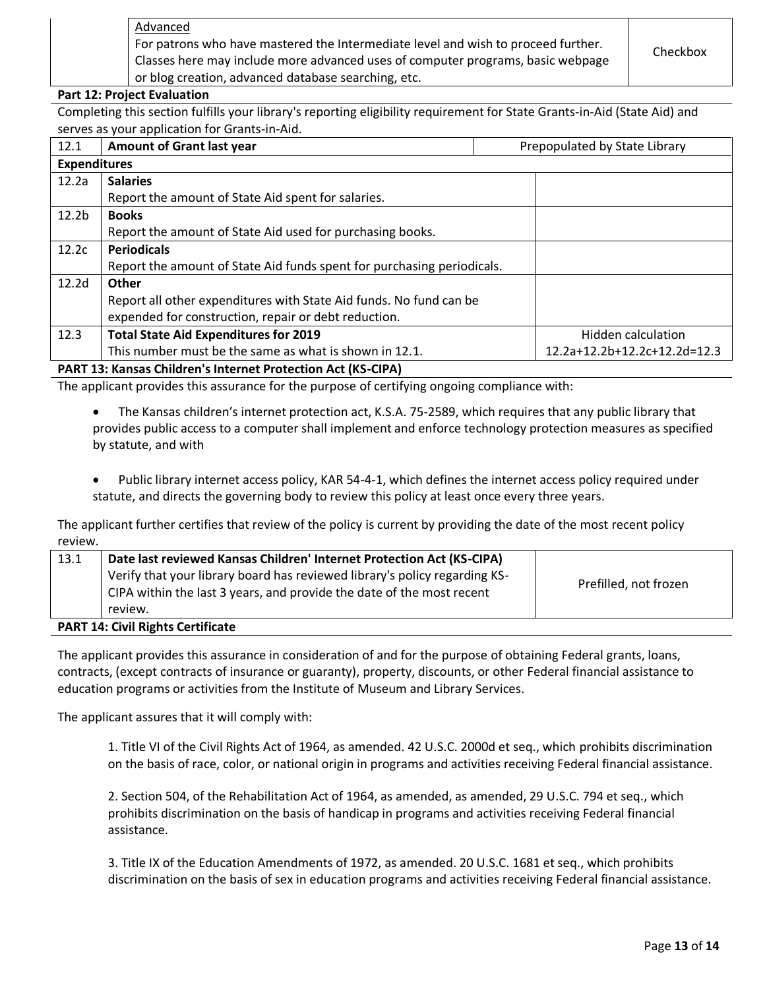Advanced For patrons who have mastered the Intermediate level and wish to proceed further. Classes here may include more advanced uses of computer programs, basic webpage or blog creation, advanced database searching, etc.

### **Part 12: Project Evaluation**

Completing this section fulfills your library's reporting eligibility requirement for State Grants-in-Aid (State Aid) and serves as your application for Grants-in-Aid.

| 12.1                | <b>Amount of Grant last year</b>                                       | Prepopulated by State Library |  |
|---------------------|------------------------------------------------------------------------|-------------------------------|--|
| <b>Expenditures</b> |                                                                        |                               |  |
| 12.2a               | <b>Salaries</b>                                                        |                               |  |
|                     | Report the amount of State Aid spent for salaries.                     |                               |  |
| 12.2 <sub>b</sub>   | <b>Books</b>                                                           |                               |  |
|                     | Report the amount of State Aid used for purchasing books.              |                               |  |
| 12.2c               | <b>Periodicals</b>                                                     |                               |  |
|                     | Report the amount of State Aid funds spent for purchasing periodicals. |                               |  |
| 12.2 <sub>d</sub>   | Other                                                                  |                               |  |
|                     | Report all other expenditures with State Aid funds. No fund can be     |                               |  |
|                     | expended for construction, repair or debt reduction.                   |                               |  |
| 12.3                | <b>Total State Aid Expenditures for 2019</b>                           | Hidden calculation            |  |
|                     | This number must be the same as what is shown in 12.1.                 | 12.2a+12.2b+12.2c+12.2d=12.3  |  |
|                     | <b>DADT 12. Kances Children's Internet Dretestion Ast (KC CIDA)</b>    |                               |  |

**PART 13: Kansas Children's Internet Protection Act (KS-CIPA)** 

The applicant provides this assurance for the purpose of certifying ongoing compliance with:

 The Kansas children's internet protection act, K.S.A. 75-2589, which requires that any public library that provides public access to a computer shall implement and enforce technology protection measures as specified by statute, and with

 Public library internet access policy, KAR 54-4-1, which defines the internet access policy required under statute, and directs the governing body to review this policy at least once every three years.

The applicant further certifies that review of the policy is current by providing the date of the most recent policy review.

| 13.1 | Date last reviewed Kansas Children' Internet Protection Act (KS-CIPA)<br>Verify that your library board has reviewed library's policy regarding KS-<br>CIPA within the last 3 years, and provide the date of the most recent | Prefilled, not frozen |
|------|------------------------------------------------------------------------------------------------------------------------------------------------------------------------------------------------------------------------------|-----------------------|
|      | review.                                                                                                                                                                                                                      |                       |
|      | <b>PART 14: Civil Rights Certificate</b>                                                                                                                                                                                     |                       |

### The applicant provides this assurance in consideration of and for the purpose of obtaining Federal grants, loans, contracts, (except contracts of insurance or guaranty), property, discounts, or other Federal financial assistance to education programs or activities from the Institute of Museum and Library Services.

The applicant assures that it will comply with:

1. Title VI of the Civil Rights Act of 1964, as amended. 42 U.S.C. 2000d et seq., which prohibits discrimination on the basis of race, color, or national origin in programs and activities receiving Federal financial assistance.

2. Section 504, of the Rehabilitation Act of 1964, as amended, as amended, 29 U.S.C. 794 et seq., which prohibits discrimination on the basis of handicap in programs and activities receiving Federal financial assistance.

3. Title IX of the Education Amendments of 1972, as amended. 20 U.S.C. 1681 et seq., which prohibits discrimination on the basis of sex in education programs and activities receiving Federal financial assistance.